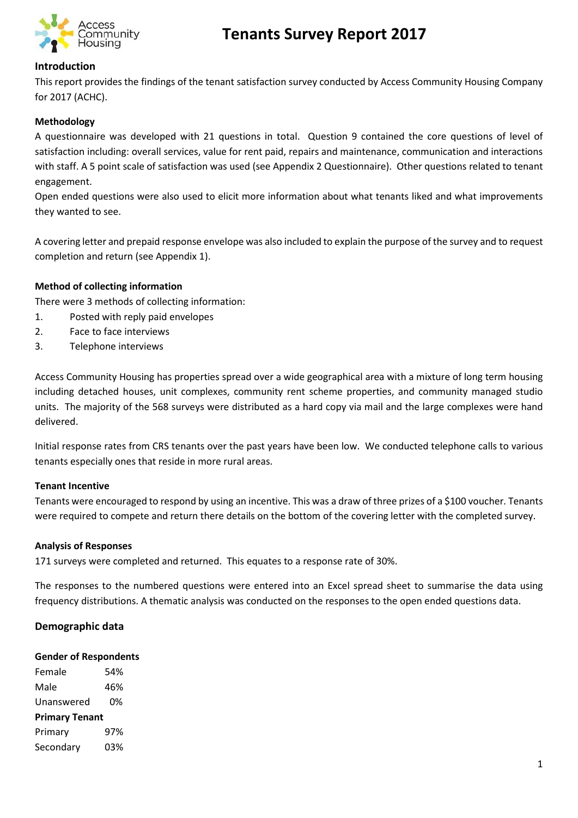

# **Tenants Survey Report 2017**

#### **Introduction**

This report provides the findings of the tenant satisfaction survey conducted by Access Community Housing Company for 2017 (ACHC).

#### **Methodology**

A questionnaire was developed with 21 questions in total. Question 9 contained the core questions of level of satisfaction including: overall services, value for rent paid, repairs and maintenance, communication and interactions with staff. A 5 point scale of satisfaction was used (see Appendix 2 Questionnaire). Other questions related to tenant engagement.

Open ended questions were also used to elicit more information about what tenants liked and what improvements they wanted to see.

A covering letter and prepaid response envelope was also included to explain the purpose of the survey and to request completion and return (see Appendix 1).

#### **Method of collecting information**

There were 3 methods of collecting information:

- 1. Posted with reply paid envelopes
- 2. Face to face interviews
- 3. Telephone interviews

Access Community Housing has properties spread over a wide geographical area with a mixture of long term housing including detached houses, unit complexes, community rent scheme properties, and community managed studio units. The majority of the 568 surveys were distributed as a hard copy via mail and the large complexes were hand delivered.

Initial response rates from CRS tenants over the past years have been low. We conducted telephone calls to various tenants especially ones that reside in more rural areas.

#### **Tenant Incentive**

Tenants were encouraged to respond by using an incentive. This was a draw of three prizes of a \$100 voucher. Tenants were required to compete and return there details on the bottom of the covering letter with the completed survey.

#### **Analysis of Responses**

171 surveys were completed and returned. This equates to a response rate of 30%.

The responses to the numbered questions were entered into an Excel spread sheet to summarise the data using frequency distributions. A thematic analysis was conducted on the responses to the open ended questions data.

#### **Demographic data**

#### **Gender of Respondents**

Female 54% Male 46% Unanswered 0% **Primary Tenant** Primary 97% Secondary 03%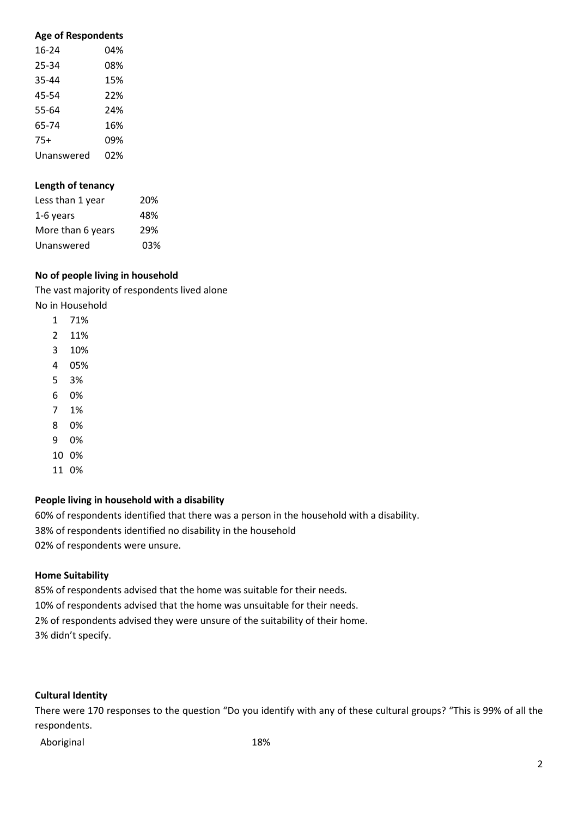#### **Age of Respondents**

| 16-24      | 04% |
|------------|-----|
| 25-34      | 08% |
| 35-44      | 15% |
| 45-54      | 22% |
| 55-64      | 24% |
| 65-74      | 16% |
| $75+$      | 09% |
| Unanswered | 02% |

#### **Length of tenancy**

| Less than 1 year  | 20% |
|-------------------|-----|
| 1-6 years         | 48% |
| More than 6 years | 29% |
| Unanswered        | 03% |

#### **No of people living in household**

The vast majority of respondents lived alone No in Household

- 1 71%
- 2 11%
- 3 10%
- 4 05%
- 5 3%
- 6 0%
- 7 1%
- 8 0%
- 9 0%
- 10 0%
- 11 0%

#### **People living in household with a disability**

60% of respondents identified that there was a person in the household with a disability. 38% of respondents identified no disability in the household

02% of respondents were unsure.

#### **Home Suitability**

85% of respondents advised that the home was suitable for their needs. 10% of respondents advised that the home was unsuitable for their needs. 2% of respondents advised they were unsure of the suitability of their home. 3% didn't specify.

#### **Cultural Identity**

There were 170 responses to the question "Do you identify with any of these cultural groups? "This is 99% of all the respondents.

Aboriginal 18%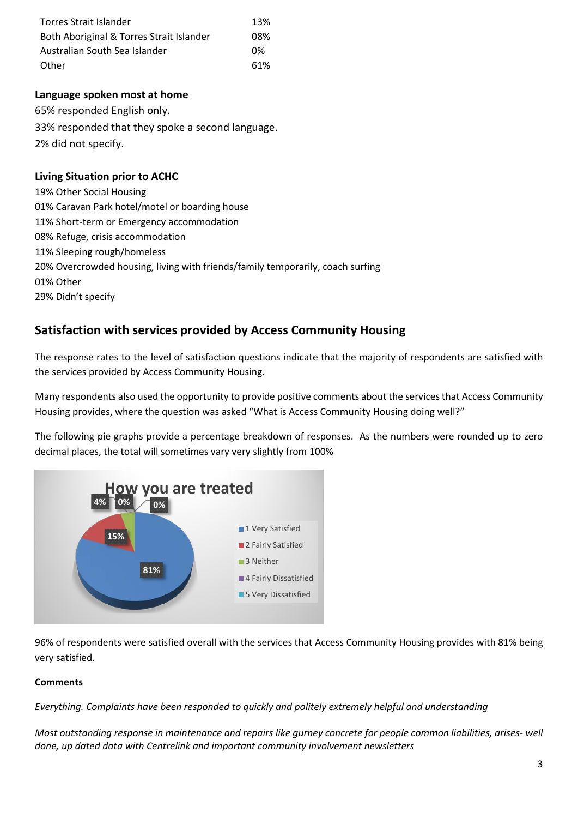| <b>Torres Strait Islander</b>            | 13% |
|------------------------------------------|-----|
| Both Aboriginal & Torres Strait Islander | 08% |
| Australian South Sea Islander            | በ%  |
| Other                                    | 61% |

#### **Language spoken most at home**

65% responded English only. 33% responded that they spoke a second language. 2% did not specify.

### **Living Situation prior to ACHC**

19% Other Social Housing 01% Caravan Park hotel/motel or boarding house 11% Short-term or Emergency accommodation 08% Refuge, crisis accommodation 11% Sleeping rough/homeless 20% Overcrowded housing, living with friends/family temporarily, coach surfing 01% Other 29% Didn't specify

# **Satisfaction with services provided by Access Community Housing**

The response rates to the level of satisfaction questions indicate that the majority of respondents are satisfied with the services provided by Access Community Housing.

Many respondents also used the opportunity to provide positive comments about the services that Access Community Housing provides, where the question was asked "What is Access Community Housing doing well?"

The following pie graphs provide a percentage breakdown of responses. As the numbers were rounded up to zero decimal places, the total will sometimes vary very slightly from 100%



96% of respondents were satisfied overall with the services that Access Community Housing provides with 81% being very satisfied.

#### **Comments**

*Everything. Complaints have been responded to quickly and politely extremely helpful and understanding*

*Most outstanding response in maintenance and repairs like gurney concrete for people common liabilities, arises- well done, up dated data with Centrelink and important community involvement newsletters*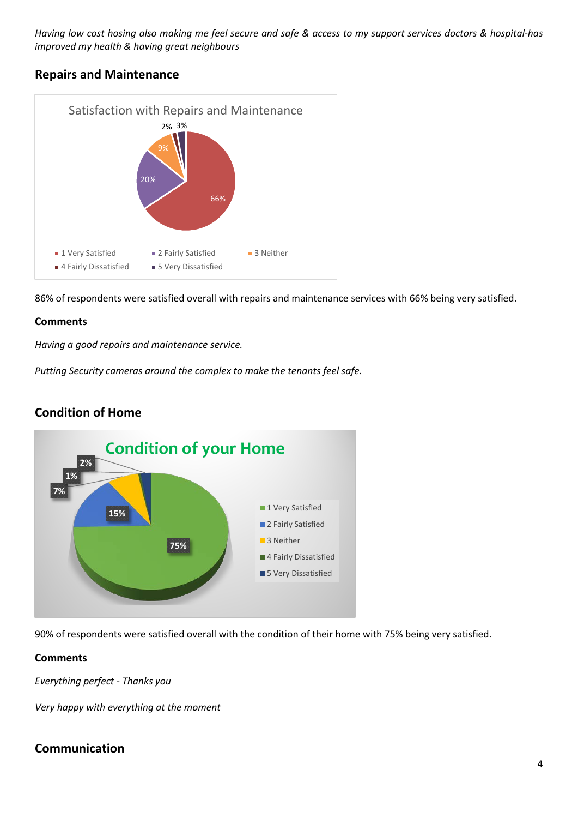*Having low cost hosing also making me feel secure and safe & access to my support services doctors & hospital-has improved my health & having great neighbours*

# **Repairs and Maintenance**



86% of respondents were satisfied overall with repairs and maintenance services with 66% being very satisfied.

#### **Comments**

*Having a good repairs and maintenance service.*

*Putting Security cameras around the complex to make the tenants feel safe.*



# **Condition of Home**

90% of respondents were satisfied overall with the condition of their home with 75% being very satisfied.

#### **Comments**

*Everything perfect - Thanks you*

*Very happy with everything at the moment*

# **Communication**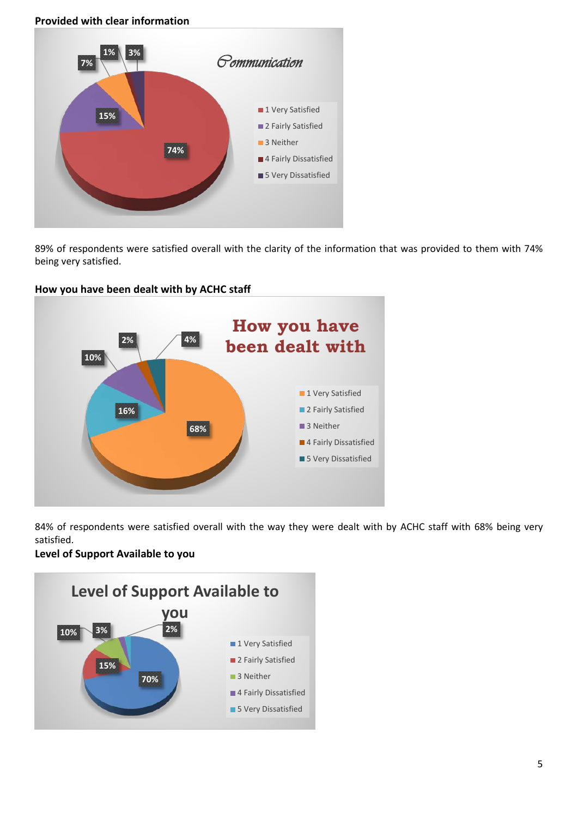#### **Provided with clear information**



89% of respondents were satisfied overall with the clarity of the information that was provided to them with 74% being very satisfied.



#### **How you have been dealt with by ACHC staff**

84% of respondents were satisfied overall with the way they were dealt with by ACHC staff with 68% being very satisfied.

#### **Level of Support Available to you**

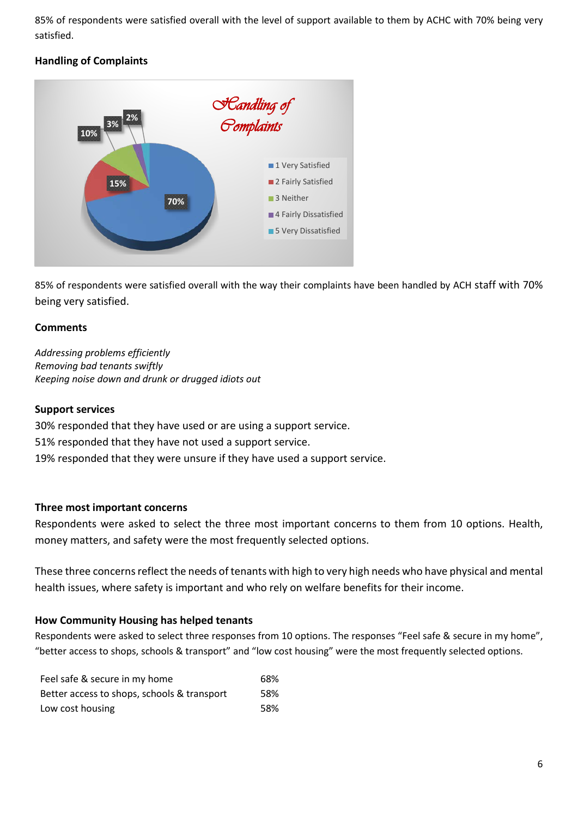85% of respondents were satisfied overall with the level of support available to them by ACHC with 70% being very satisfied.

# **Handling of Complaints**



85% of respondents were satisfied overall with the way their complaints have been handled by ACH staff with 70% being very satisfied.

# **Comments**

*Addressing problems efficiently Removing bad tenants swiftly Keeping noise down and drunk or drugged idiots out*

### **Support services**

30% responded that they have used or are using a support service. 51% responded that they have not used a support service. 19% responded that they were unsure if they have used a support service.

### **Three most important concerns**

Respondents were asked to select the three most important concerns to them from 10 options. Health, money matters, and safety were the most frequently selected options.

These three concerns reflect the needs of tenants with high to very high needs who have physical and mental health issues, where safety is important and who rely on welfare benefits for their income.

### **How Community Housing has helped tenants**

Respondents were asked to select three responses from 10 options. The responses "Feel safe & secure in my home", "better access to shops, schools & transport" and "low cost housing" were the most frequently selected options.

| Feel safe & secure in my home               | 68% |
|---------------------------------------------|-----|
| Better access to shops, schools & transport | 58% |
| Low cost housing                            | 58% |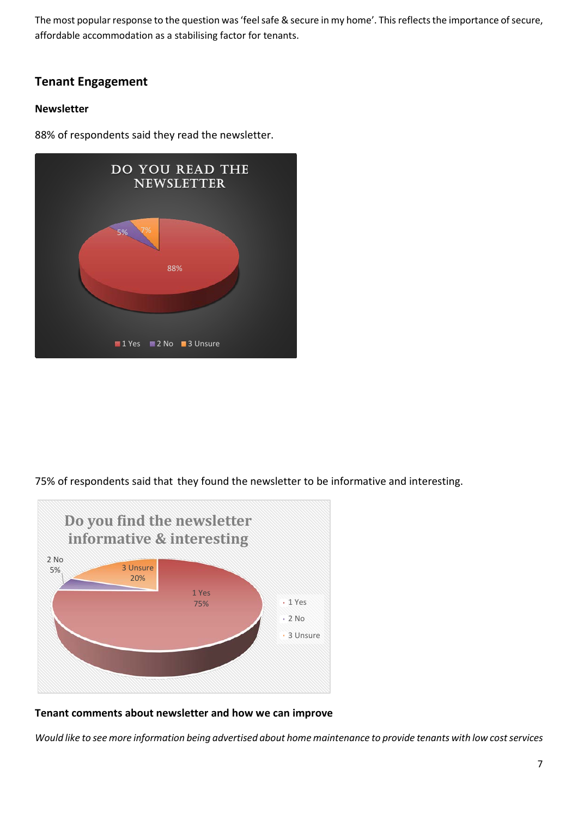The most popular response to the question was 'feel safe & secure in my home'. This reflects the importance of secure, affordable accommodation as a stabilising factor for tenants.

# **Tenant Engagement**

### **Newsletter**

88% of respondents said they read the newsletter.



75% of respondents said that they found the newsletter to be informative and interesting.



#### **Tenant comments about newsletter and how we can improve**

*Would like to see more information being advertised about home maintenance to provide tenants with low cost services*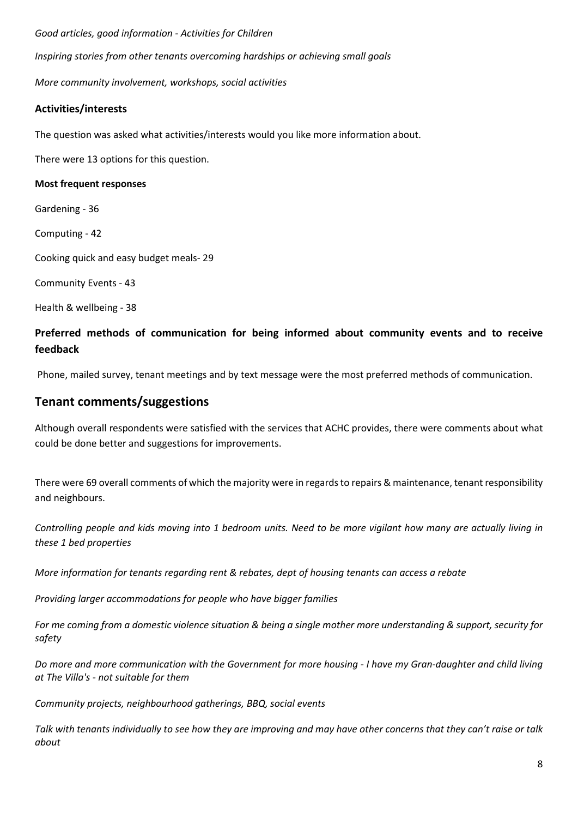*Good articles, good information - Activities for Children Inspiring stories from other tenants overcoming hardships or achieving small goals*

*More community involvement, workshops, social activities*

### **Activities/interests**

The question was asked what activities/interests would you like more information about.

There were 13 options for this question.

#### **Most frequent responses**

Gardening - 36

Computing - 42

Cooking quick and easy budget meals- 29

Community Events - 43

Health & wellbeing - 38

# **Preferred methods of communication for being informed about community events and to receive feedback**

Phone, mailed survey, tenant meetings and by text message were the most preferred methods of communication.

# **Tenant comments/suggestions**

Although overall respondents were satisfied with the services that ACHC provides, there were comments about what could be done better and suggestions for improvements.

There were 69 overall comments of which the majority were in regards to repairs & maintenance, tenant responsibility and neighbours.

*Controlling people and kids moving into 1 bedroom units. Need to be more vigilant how many are actually living in these 1 bed properties*

*More information for tenants regarding rent & rebates, dept of housing tenants can access a rebate*

*Providing larger accommodations for people who have bigger families*

*For me coming from a domestic violence situation & being a single mother more understanding & support, security for safety*

*Do more and more communication with the Government for more housing - I have my Gran-daughter and child living at The Villa's - not suitable for them*

*Community projects, neighbourhood gatherings, BBQ, social events*

*Talk with tenants individually to see how they are improving and may have other concerns that they can't raise or talk about*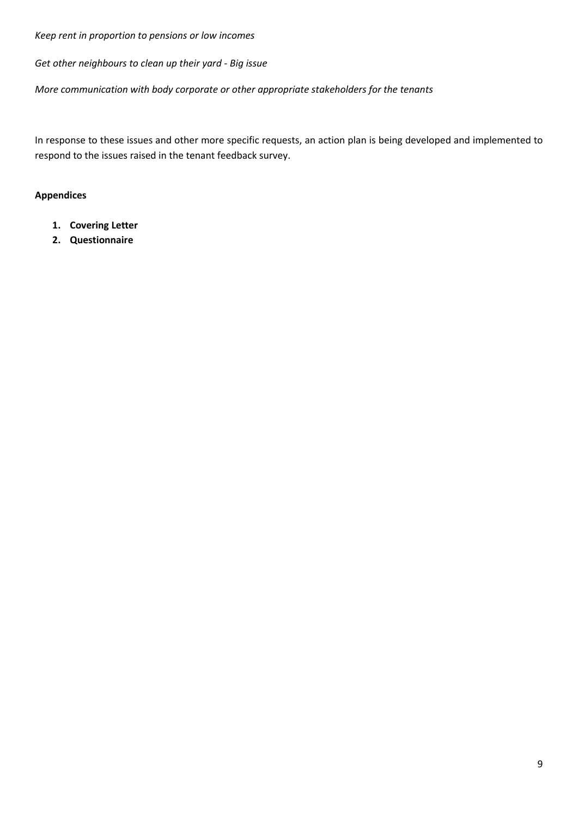*Keep rent in proportion to pensions or low incomes*

*Get other neighbours to clean up their yard - Big issue*

*More communication with body corporate or other appropriate stakeholders for the tenants*

In response to these issues and other more specific requests, an action plan is being developed and implemented to respond to the issues raised in the tenant feedback survey.

#### **Appendices**

- **1. Covering Letter**
- **2. Questionnaire**